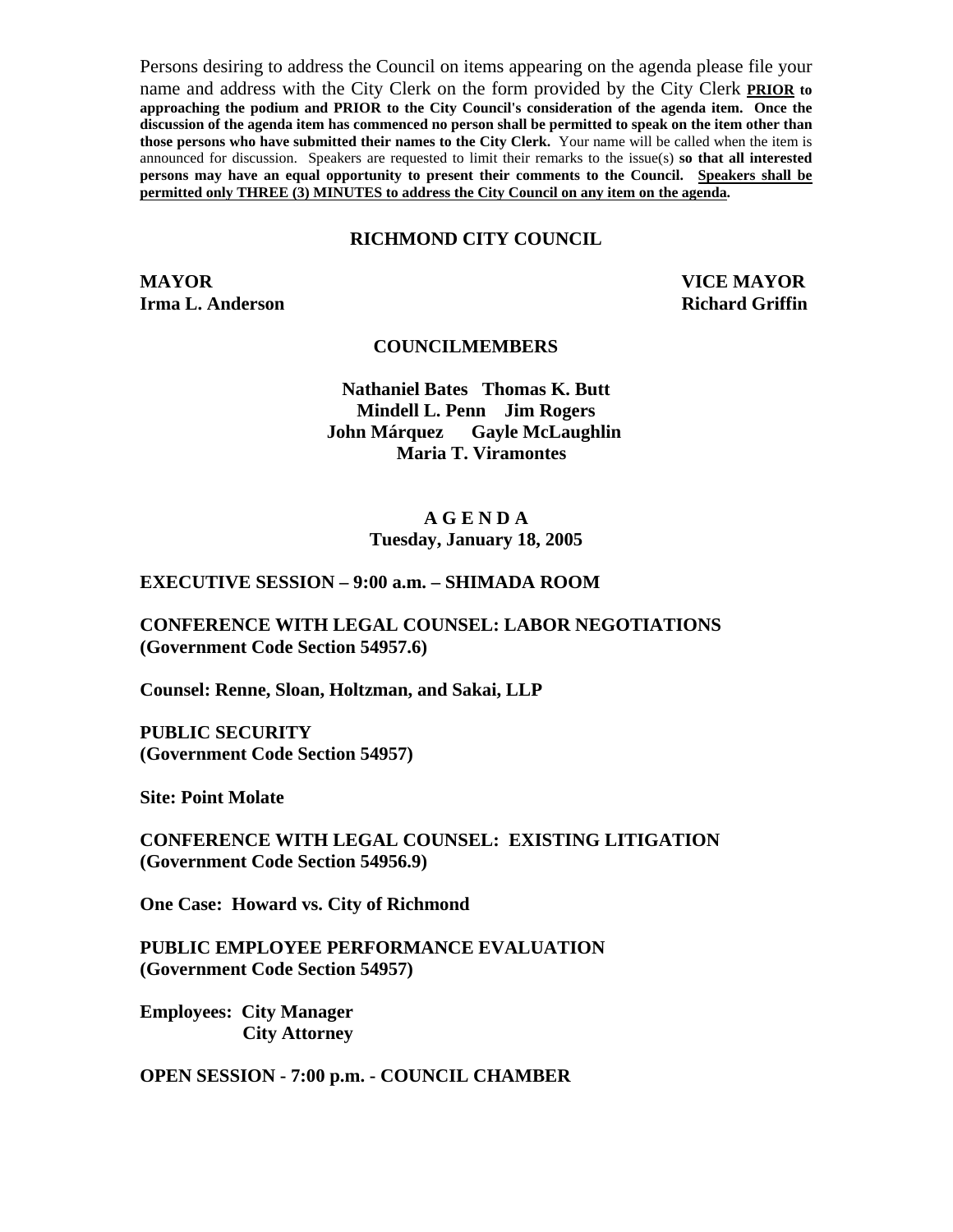Persons desiring to address the Council on items appearing on the agenda please file your name and address with the City Clerk on the form provided by the City Clerk **PRIOR to approaching the podium and PRIOR to the City Council's consideration of the agenda item. Once the discussion of the agenda item has commenced no person shall be permitted to speak on the item other than those persons who have submitted their names to the City Clerk.** Your name will be called when the item is announced for discussion. Speakers are requested to limit their remarks to the issue(s) **so that all interested persons may have an equal opportunity to present their comments to the Council. Speakers shall be permitted only THREE (3) MINUTES to address the City Council on any item on the agenda.**

#### **RICHMOND CITY COUNCIL**

**MAYOR VICE MAYOR Irma L. Anderson Richard Griffin Richard Griffin** 

#### **COUNCILMEMBERS**

**Nathaniel Bates Thomas K. Butt Mindell L. Penn Jim Rogers John Márquez Gayle McLaughlin Maria T. Viramontes** 

#### **A G E N D A Tuesday, January 18, 2005**

#### **EXECUTIVE SESSION – 9:00 a.m. – SHIMADA ROOM**

**CONFERENCE WITH LEGAL COUNSEL: LABOR NEGOTIATIONS (Government Code Section 54957.6)** 

**Counsel: Renne, Sloan, Holtzman, and Sakai, LLP** 

**PUBLIC SECURITY (Government Code Section 54957)** 

**Site: Point Molate** 

**CONFERENCE WITH LEGAL COUNSEL: EXISTING LITIGATION (Government Code Section 54956.9)** 

**One Case: Howard vs. City of Richmond** 

**PUBLIC EMPLOYEE PERFORMANCE EVALUATION (Government Code Section 54957)** 

**Employees: City Manager City Attorney** 

**OPEN SESSION - 7:00 p.m. - COUNCIL CHAMBER**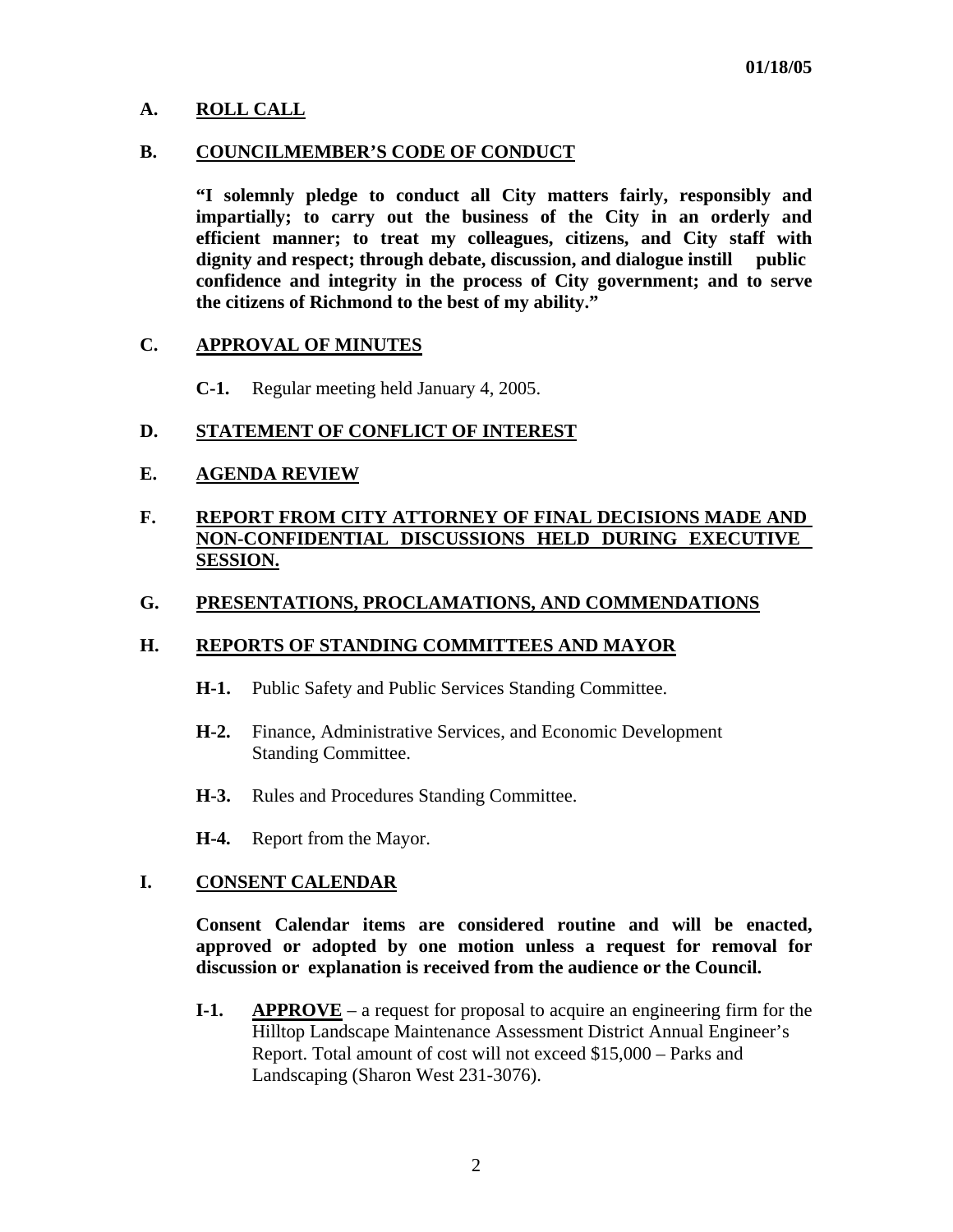## **A. ROLL CALL**

#### **B. COUNCILMEMBER'S CODE OF CONDUCT**

 **"I solemnly pledge to conduct all City matters fairly, responsibly and impartially; to carry out the business of the City in an orderly and efficient manner; to treat my colleagues, citizens, and City staff with dignity and respect; through debate, discussion, and dialogue instill public confidence and integrity in the process of City government; and to serve the citizens of Richmond to the best of my ability."** 

#### **C. APPROVAL OF MINUTES**

**C-1.** Regular meeting held January 4, 2005.

### **D. STATEMENT OF CONFLICT OF INTEREST**

### **E. AGENDA REVIEW**

## **F. REPORT FROM CITY ATTORNEY OF FINAL DECISIONS MADE AND NON-CONFIDENTIAL DISCUSSIONS HELD DURING EXECUTIVE SESSION.**

### **G. PRESENTATIONS, PROCLAMATIONS, AND COMMENDATIONS**

### **H. REPORTS OF STANDING COMMITTEES AND MAYOR**

- **H-1.** Public Safety and Public Services Standing Committee.
- **H-2.** Finance, Administrative Services, and Economic Development Standing Committee.
- **H-3.** Rules and Procedures Standing Committee.
- **H-4.** Report from the Mayor.

### **I. CONSENT CALENDAR**

 **Consent Calendar items are considered routine and will be enacted, approved or adopted by one motion unless a request for removal for discussion or explanation is received from the audience or the Council.** 

 **I-1. APPROVE** – a request for proposal to acquire an engineering firm for the Hilltop Landscape Maintenance Assessment District Annual Engineer's Report. Total amount of cost will not exceed \$15,000 – Parks and Landscaping (Sharon West 231-3076).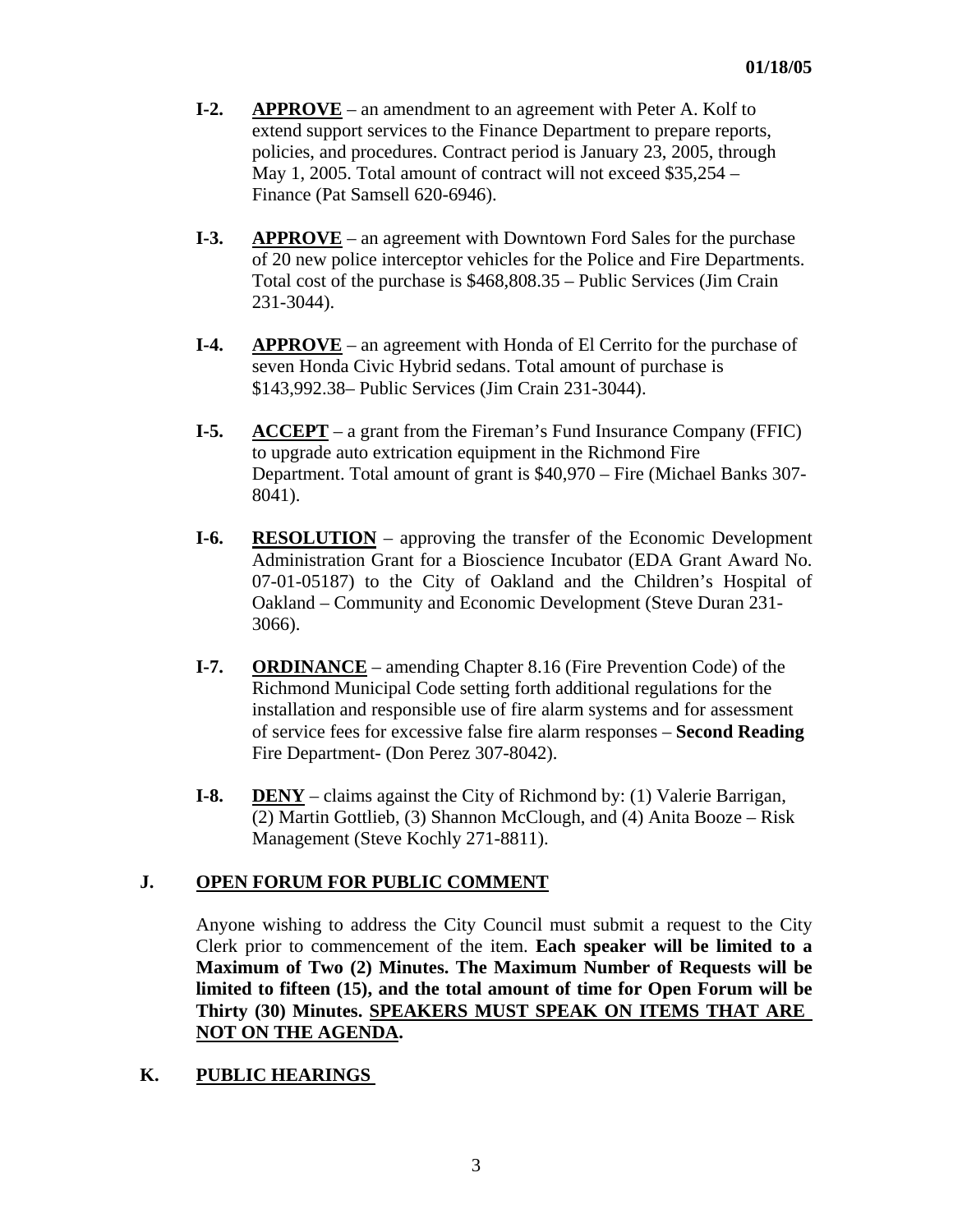- **I-2. APPROVE** an amendment to an agreement with Peter A. Kolf to extend support services to the Finance Department to prepare reports, policies, and procedures. Contract period is January 23, 2005, through May 1, 2005. Total amount of contract will not exceed \$35,254 – Finance (Pat Samsell 620-6946).
- **I-3.** APPROVE an agreement with Downtown Ford Sales for the purchase of 20 new police interceptor vehicles for the Police and Fire Departments. Total cost of the purchase is \$468,808.35 – Public Services (Jim Crain 231-3044).
- **I-4.** APPROVE an agreement with Honda of El Cerrito for the purchase of seven Honda Civic Hybrid sedans. Total amount of purchase is \$143,992.38– Public Services (Jim Crain 231-3044).
- **I-5. ACCEPT** a grant from the Fireman's Fund Insurance Company (FFIC) to upgrade auto extrication equipment in the Richmond Fire Department. Total amount of grant is \$40,970 – Fire (Michael Banks 307- 8041).
- **I-6. RESOLUTION** approving the transfer of the Economic Development Administration Grant for a Bioscience Incubator (EDA Grant Award No. 07-01-05187) to the City of Oakland and the Children's Hospital of Oakland – Community and Economic Development (Steve Duran 231- 3066).
- **I-7.** ORDINANCE amending Chapter 8.16 (Fire Prevention Code) of the Richmond Municipal Code setting forth additional regulations for the installation and responsible use of fire alarm systems and for assessment of service fees for excessive false fire alarm responses – **Second Reading**  Fire Department- (Don Perez 307-8042).
- **I-8. DENY** claims against the City of Richmond by: (1) Valerie Barrigan, (2) Martin Gottlieb, (3) Shannon McClough, and (4) Anita Booze – Risk Management (Steve Kochly 271-8811).

## **J. OPEN FORUM FOR PUBLIC COMMENT**

Anyone wishing to address the City Council must submit a request to the City Clerk prior to commencement of the item. **Each speaker will be limited to a Maximum of Two (2) Minutes. The Maximum Number of Requests will be limited to fifteen (15), and the total amount of time for Open Forum will be Thirty (30) Minutes. SPEAKERS MUST SPEAK ON ITEMS THAT ARE NOT ON THE AGENDA.** 

## **K. PUBLIC HEARINGS**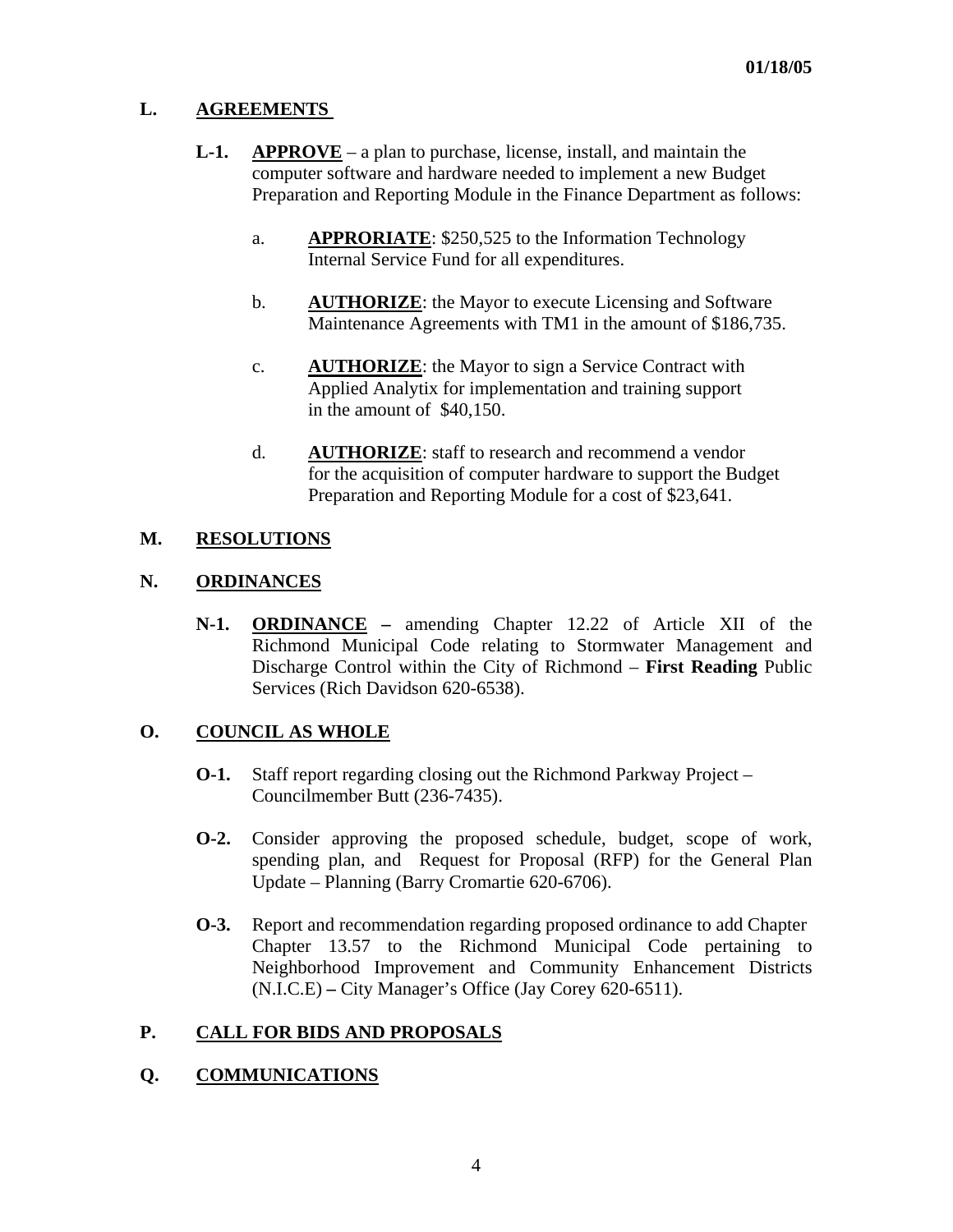## **L. AGREEMENTS**

- **L-1.** APPROVE a plan to purchase, license, install, and maintain the computer software and hardware needed to implement a new Budget Preparation and Reporting Module in the Finance Department as follows:
	- a. **APPRORIATE**: \$250,525 to the Information Technology Internal Service Fund for all expenditures.
	- b. **AUTHORIZE**: the Mayor to execute Licensing and Software Maintenance Agreements with TM1 in the amount of \$186,735.
	- c. **AUTHORIZE**: the Mayor to sign a Service Contract with Applied Analytix for implementation and training support in the amount of \$40,150.
	- d. **AUTHORIZE**: staff to research and recommend a vendor for the acquisition of computer hardware to support the Budget Preparation and Reporting Module for a cost of \$23,641.

## **M. RESOLUTIONS**

## **N. ORDINANCES**

 **N-1. ORDINANCE –** amending Chapter 12.22 of Article XII of the Richmond Municipal Code relating to Stormwater Management and Discharge Control within the City of Richmond – **First Reading** Public Services (Rich Davidson 620-6538).

# **O. COUNCIL AS WHOLE**

- **O-1.** Staff report regarding closing out the Richmond Parkway Project Councilmember Butt (236-7435).
- **O-2.** Consider approving the proposed schedule, budget, scope of work, spending plan, and Request for Proposal (RFP) for the General Plan Update – Planning (Barry Cromartie 620-6706).
- **O-3.** Report and recommendation regarding proposed ordinance to add Chapter Chapter 13.57 to the Richmond Municipal Code pertaining to Neighborhood Improvement and Community Enhancement Districts (N.I.C.E) **–** City Manager's Office (Jay Corey 620-6511).

# **P. CALL FOR BIDS AND PROPOSALS**

## **Q. COMMUNICATIONS**